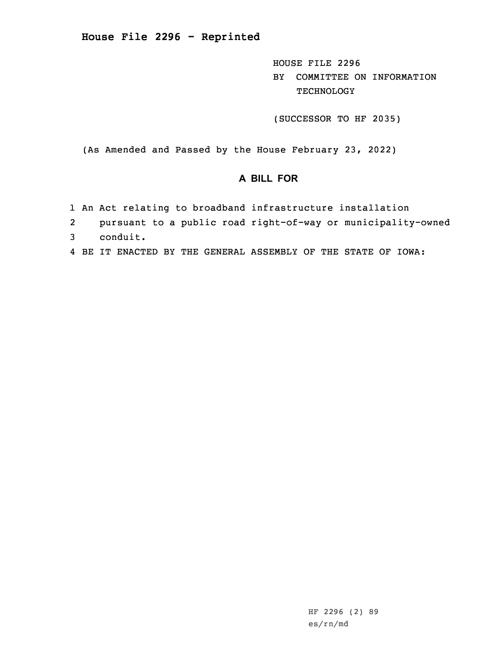**House File 2296 - Reprinted**

HOUSE FILE 2296 BY COMMITTEE ON INFORMATION TECHNOLOGY

(SUCCESSOR TO HF 2035)

(As Amended and Passed by the House February 23, 2022)

## **A BILL FOR**

- 1 An Act relating to broadband infrastructure installation
- 2pursuant to <sup>a</sup> public road right-of-way or municipality-owned
- 3 conduit.
- 4 BE IT ENACTED BY THE GENERAL ASSEMBLY OF THE STATE OF IOWA: